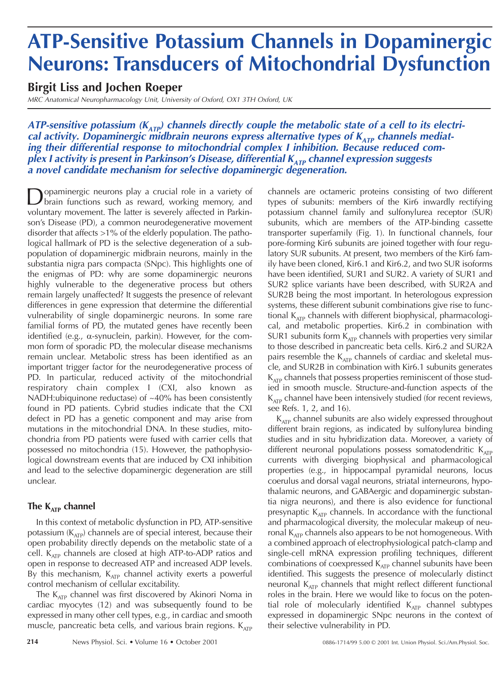## **ATP-Sensitive Potassium Channels in Dopaminergic Neurons: Transducers of Mitochondrial Dysfunction**

## **Birgit Liss and Jochen Roeper**

MRC Anatomical Neuropharmacology Unit, University of Oxford, OX1 3TH Oxford, UK

ATP-sensitive potassium (K<sub>ATP</sub>) channels directly couple the metabolic state of a cell to its electrical activity. Dopaminergic midbrain neurons express alternative types of K<sub>ATP</sub> channels mediating their differential response to mitochondrial complex I inhibition. Because reduced com**plex I activity is present in Parkinson's Disease, differential K<sub>ATP</sub> channel expression suggests a novel candidate mechanism for selective dopaminergic degeneration.**

Dopaminergic neurons play a crucial role in a variety of<br>brain functions such as reward, working memory, and voluntary movement. The latter is severely affected in Parkinson's Disease (PD), a common neurodegenerative movement disorder that affects >1% of the elderly population. The pathological hallmark of PD is the selective degeneration of a subpopulation of dopaminergic midbrain neurons, mainly in the substantia nigra pars compacta (SNpc). This highlights one of the enigmas of PD: why are some dopaminergic neurons highly vulnerable to the degenerative process but others remain largely unaffected? It suggests the presence of relevant differences in gene expression that determine the differential vulnerability of single dopaminergic neurons. In some rare familial forms of PD, the mutated genes have recently been identified (e.g.,  $\alpha$ -synuclein, parkin). However, for the common form of sporadic PD, the molecular disease mechanisms remain unclear. Metabolic stress has been identified as an important trigger factor for the neurodegenerative process of PD. In particular, reduced activity of the mitochondrial respiratory chain complex I (CXI, also known as NADH:ubiquinone reductase) of ~40% has been consistently found in PD patients. Cybrid studies indicate that the CXI defect in PD has a genetic component and may arise from mutations in the mitochondrial DNA. In these studies, mitochondria from PD patients were fused with carrier cells that possessed no mitochondria (15). However, the pathophysiological downstream events that are induced by CXI inhibition and lead to the selective dopaminergic degeneration are still unclear.

### The  $K_{ATP}$  channel

In this context of metabolic dysfunction in PD, ATP-sensitive potassium  $(K_{ATP})$  channels are of special interest, because their open probability directly depends on the metabolic state of a cell.  $K_{ATP}$  channels are closed at high ATP-to-ADP ratios and open in response to decreased ATP and increased ADP levels. By this mechanism,  $K_{ATP}$  channel activity exerts a powerful control mechanism of cellular excitability.

The  $K_{ATP}$  channel was first discovered by Akinori Noma in cardiac myocytes (12) and was subsequently found to be expressed in many other cell types, e.g., in cardiac and smooth muscle, pancreatic beta cells, and various brain regions.  $K_{ATP}$  channels are octameric proteins consisting of two different types of subunits: members of the Kir6 inwardly rectifying potassium channel family and sulfonylurea receptor (SUR) subunits, which are members of the ATP-binding cassette transporter superfamily (Fig. 1). In functional channels, four pore-forming Kir6 subunits are joined together with four regulatory SUR subunits. At present, two members of the Kir6 family have been cloned, Kir6.1 and Kir6.2, and two SUR isoforms have been identified, SUR1 and SUR2. A variety of SUR1 and SUR2 splice variants have been described, with SUR2A and SUR2B being the most important. In heterologous expression systems, these different subunit combinations give rise to functional  $K_{ATD}$  channels with different biophysical, pharmacological, and metabolic properties. Kir6.2 in combination with SUR1 subunits form  $K_{ATP}$  channels with properties very similar to those described in pancreatic beta cells. Kir6.2 and SUR2A pairs resemble the  $K_{ATP}$  channels of cardiac and skeletal muscle, and SUR2B in combination with Kir6.1 subunits generates  $K_{ATP}$  channels that possess properties reminiscent of those studied in smooth muscle. Structure-and-function aspects of the  $K_{ATP}$  channel have been intensively studied (for recent reviews, see Refs. 1, 2, and 16).

 $K_{ATP}$  channel subunits are also widely expressed throughout different brain regions, as indicated by sulfonylurea binding studies and in situ hybridization data. Moreover, a variety of different neuronal populations possess somatodendritic  $K_{ATP}$ currents with diverging biophysical and pharmacological properties (e.g., in hippocampal pyramidal neurons, locus coerulus and dorsal vagal neurons, striatal interneurons, hypothalamic neurons, and GABAergic and dopaminergic substantia nigra neurons), and there is also evidence for functional presynaptic  $K_{ATP}$  channels. In accordance with the functional and pharmacological diversity, the molecular makeup of neuronal  $K_{ATP}$  channels also appears to be not homogeneous. With a combined approach of electrophysiological patch-clamp and single-cell mRNA expression profiling techniques, different combinations of coexpressed  $K_{ATP}$  channel subunits have been identified. This suggests the presence of molecularly distinct neuronal  $K_{ATP}$  channels that might reflect different functional roles in the brain. Here we would like to focus on the potential role of molecularly identified K<sub>ATP</sub> channel subtypes expressed in dopaminergic SNpc neurons in the context of their selective vulnerability in PD.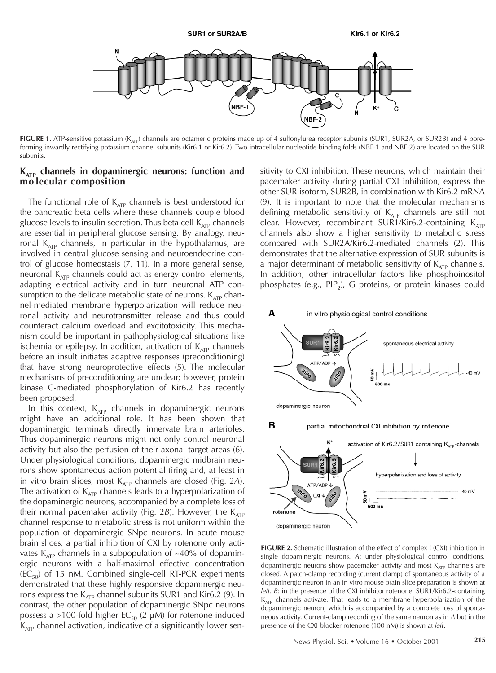

FIGURE 1. ATP-sensitive potassium (K<sub>ATP</sub>) channels are octameric proteins made up of 4 sulfonylurea receptor subunits (SUR1, SUR2A, or SUR2B) and 4 poreforming inwardly rectifying potassium channel subunits (Kir6.1 or Kir6.2). Two intracellular nucleotide-binding folds (NBF-1 and NBF-2) are located on the SUR subunits.

#### **KATP channels in dopaminergic neurons: function and mo lecular composition**

The functional role of  $K_{ATP}$  channels is best understood for the pancreatic beta cells where these channels couple blood glucose levels to insulin secretion. Thus beta cell  $K_{ATP}$  channels are essential in peripheral glucose sensing. By analogy, neuronal  $K_{ATP}$  channels, in particular in the hypothalamus, are involved in central glucose sensing and neuroendocrine control of glucose homeostasis (7, 11). In a more general sense, neuronal  $K<sub>ATP</sub>$  channels could act as energy control elements, adapting electrical activity and in turn neuronal ATP consumption to the delicate metabolic state of neurons.  $K_{ATP}$  channel-mediated membrane hyperpolarization will reduce neuronal activity and neurotransmitter release and thus could counteract calcium overload and excitotoxicity. This mechanism could be important in pathophysiological situations like ischemia or epilepsy. In addition, activation of  $K_{ATP}$  channels before an insult initiates adaptive responses (preconditioning) that have strong neuroprotective effects (5). The molecular mechanisms of preconditioning are unclear; however, protein kinase C-mediated phosphorylation of Kir6.2 has recently been proposed.

In this context,  $K_{ATP}$  channels in dopaminergic neurons might have an additional role. It has been shown that dopaminergic terminals directly innervate brain arterioles. Thus dopaminergic neurons might not only control neuronal activity but also the perfusion of their axonal target areas (6). Under physiological conditions, dopaminergic midbrain neurons show spontaneous action potential firing and, at least in in vitro brain slices, most K<sub>ATP</sub> channels are closed (Fig. 2A). The activation of  $K_{ATP}$  channels leads to a hyperpolarization of the dopaminergic neurons, accompanied by a complete loss of their normal pacemaker activity (Fig. 2B). However, the K<sub>ATP</sub> channel response to metabolic stress is not uniform within the population of dopaminergic SNpc neurons. In acute mouse brain slices, a partial inhibition of CXI by rotenone only activates  $K_{ATP}$  channels in a subpopulation of ~40% of dopaminergic neurons with a half-maximal effective concentration  $(EC_{50})$  of 15 nM. Combined single-cell RT-PCR experiments demonstrated that these highly responsive dopaminergic neurons express the  $K_{ATP}$  channel subunits SUR1 and Kir6.2 (9). In contrast, the other population of dopaminergic SNpc neurons possess a >100-fold higher EC $_{50}$  (2  $\mu$ M) for rotenone-induced  $K_{ATP}$  channel activation, indicative of a significantly lower sensitivity to CXI inhibition. These neurons, which maintain their pacemaker activity during partial CXI inhibition, express the other SUR isoform, SUR2B, in combination with Kir6.2 mRNA (9). It is important to note that the molecular mechanisms defining metabolic sensitivity of  $K_{ATP}$  channels are still not clear. However, recombinant SUR1/Kir6.2-containing  $K_{ATP}$ channels also show a higher sensitivity to metabolic stress compared with SUR2A/Kir6.2-mediated channels (2). This demonstrates that the alternative expression of SUR subunits is a major determinant of metabolic sensitivity of  $K_{ATP}$  channels. In addition, other intracellular factors like phosphoinositol phosphates (e.g.,  $PIP_2$ ), G proteins, or protein kinases could



**FIGURE 2.** Schematic illustration of the effect of complex I (CXI) inhibition in single dopaminergic neurons. *A*: under physiological control conditions, dopaminergic neurons show pacemaker activity and most  $K_{ATP}$  channels are closed. A patch-clamp recording (current clamp) of spontaneous activity of a dopaminergic neuron in an in vitro mouse brain slice preparation is shown at *left*. *B*: in the presence of the CXI inhibitor rotenone, SUR1/Kir6.2-containing  $K_{ATP}$  channels activate. That leads to a membrane hyperpolarization of the dopaminergic neuron, which is accompanied by a complete loss of spontaneous activity. Current-clamp recording of the same neuron as in *A* but in the presence of the CXI blocker rotenone (100 nM) is shown at *left*.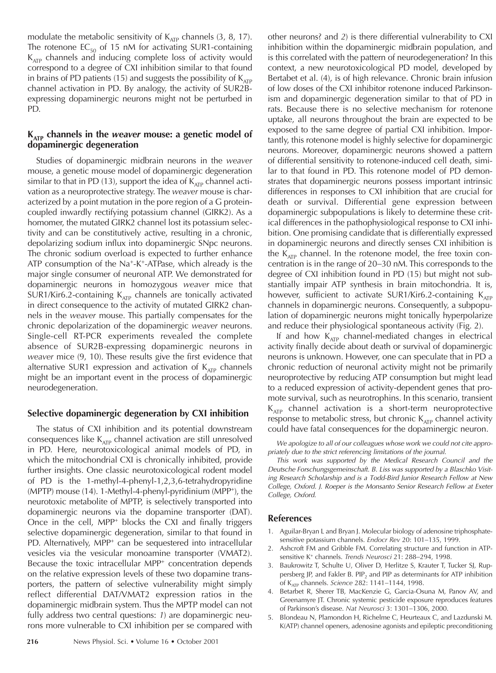modulate the metabolic sensitivity of  $K_{ATP}$  channels (3, 8, 17). The rotenone  $EC_{50}$  of 15 nM for activating SUR1-containing  $K_{ATP}$  channels and inducing complete loss of activity would correspond to a degree of CXI inhibition similar to that found in brains of PD patients (15) and suggests the possibility of  $K_{ATP}$ channel activation in PD. By analogy, the activity of SUR2Bexpressing dopaminergic neurons might not be perturbed in PD.

#### **KATP channels in the** *weaver* **mouse: a genetic model of dopaminergic degeneration**

Studies of dopaminergic midbrain neurons in the *weaver* mouse, a genetic mouse model of dopaminergic degeneration similar to that in PD (13), support the idea of  $K_{ATP}$  channel activation as a neuroprotective strategy. The *weaver* mouse is characterized by a point mutation in the pore region of a G proteincoupled inwardly rectifying potassium channel (GIRK2). As a homomer, the mutated GIRK2 channel lost its potassium selectivity and can be constitutively active, resulting in a chronic, depolarizing sodium influx into dopaminergic SNpc neurons. The chronic sodium overload is expected to further enhance ATP consumption of the Na<sup>+</sup>-K<sup>+</sup>-ATPase, which already is the major single consumer of neuronal ATP. We demonstrated for dopaminergic neurons in homozygous *weaver* mice that SUR1/Kir6.2-containing  $K_{ATP}$  channels are tonically activated in direct consequence to the activity of mutated GIRK2 channels in the *weaver* mouse. This partially compensates for the chronic depolarization of the dopaminergic *weaver* neurons. Single-cell RT-PCR experiments revealed the complete absence of SUR2B-expressing dopaminergic neurons in *weaver* mice (9, 10). These results give the first evidence that alternative SUR1 expression and activation of  $K_{ATP}$  channels might be an important event in the process of dopaminergic neurodegeneration.

#### **Selective dopaminergic degeneration by CXI inhibition**

The status of CXI inhibition and its potential downstream consequences like  $K_{ATP}$  channel activation are still unresolved in PD. Here, neurotoxicological animal models of PD, in which the mitochondrial CXI is chronically inhibited, provide further insights. One classic neurotoxicological rodent model of PD is the 1-methyl-4-phenyl-1,2,3,6-tetrahydropyridine (MPTP) mouse (14). 1-Methyl-4-phenyl-pyridinium (MPP+), the neurotoxic metabolite of MPTP, is selectively transported into dopaminergic neurons via the dopamine transporter (DAT). Once in the cell, MPP+ blocks the CXI and finally triggers selective dopaminergic degeneration, similar to that found in PD. Alternatively, MPP<sup>+</sup> can be sequestered into intracellular vesicles via the vesicular monoamine transporter (VMAT2). Because the toxic intracellular MPP+ concentration depends on the relative expression levels of these two dopamine transporters, the pattern of selective vulnerability might simply reflect differential DAT/VMAT2 expression ratios in the dopaminergic midbrain system. Thus the MPTP model can not fully address two central questions: *1*) are dopaminergic neurons more vulnerable to CXI inhibition per se compared with other neurons? and *2*) is there differential vulnerability to CXI inhibition within the dopaminergic midbrain population, and is this correlated with the pattern of neurodegeneration? In this context, a new neurotoxicological PD model, developed by Bertabet et al. (4), is of high relevance. Chronic brain infusion of low doses of the CXI inhibitor rotenone induced Parkinsonism and dopaminergic degeneration similar to that of PD in rats. Because there is no selective mechanism for rotenone uptake, all neurons throughout the brain are expected to be exposed to the same degree of partial CXI inhibition. Importantly, this rotenone model is highly selective for dopaminergic neurons. Moreover, dopaminergic neurons showed a pattern of differential sensitivity to rotenone-induced cell death, similar to that found in PD. This rotenone model of PD demonstrates that dopaminergic neurons possess important intrinsic differences in responses to CXI inhibition that are crucial for death or survival. Differential gene expression between dopaminergic subpopulations is likely to determine these critical differences in the pathophysiological response to CXI inhibition. One promising candidate that is differentially expressed in dopaminergic neurons and directly senses CXI inhibition is the  $K_{ATP}$  channel. In the rotenone model, the free toxin concentration is in the range of 20–30 nM. This corresponds to the degree of CXI inhibition found in PD (15) but might not substantially impair ATP synthesis in brain mitochondria. It is, however, sufficient to activate SUR1/Kir6.2-containing  $K_{ATP}$ channels in dopaminergic neurons. Consequently, a subpopulation of dopaminergic neurons might tonically hyperpolarize and reduce their physiological spontaneous activity (Fig. 2).

If and how  $K_{ATP}$  channel-mediated changes in electrical activity finally decide about death or survival of dopaminergic neurons is unknown. However, one can speculate that in PD a chronic reduction of neuronal activity might not be primarily neuroprotective by reducing ATP consumption but might lead to a reduced expression of activity-dependent genes that promote survival, such as neurotrophins. In this scenario, transient  $K_{ATP}$  channel activation is a short-term neuroprotective response to metabolic stress, but chronic  $K_{ATP}$  channel activity could have fatal consequences for the dopaminergic neuron.

We apologize to all of our colleagues whose work we could not cite appropriately due to the strict referencing limitations of the journal.

This work was supported by the Medical Research Council and the Deutsche Forschungsgemeinschaft. B. Liss was supported by a Blaschko Visiting Research Scholarship and is a Todd-Bird Junior Research Fellow at New College, Oxford. J. Roeper is the Monsanto Senior Research Fellow at Exeter College, Oxford.

#### **References**

- 1. Aguilar-Bryan L and Bryan J. Molecular biology of adenosine triphosphatesensitive potassium channels. *Endocr Rev* 20: 101-135, 1999.
- 2. Ashcroft FM and Gribble FM. Correlating structure and function in ATPsensitive K<sup>+</sup> channels. *Trends Neurosci* 21: 288-294, 1998.
- 3. Baukrowitz T, Schulte U, Oliver D, Herlitze S, Krauter T, Tucker SJ, Ruppersberg JP, and Fakler B. PIP<sub>2</sub> and PIP as determinants for ATP inhibition of K<sub>ATP</sub> channels. *Science* 282: 1141-1144, 1998.
- Betarbet R, Sherer TB, MacKenzie G, Garcia-Osuna M, Panov AV, and Greenamyre JT. Chronic systemic pesticide exposure reproduces features of Parkinson's disease. *Nat Neurosci* 3: 1301-1306, 2000.
- 5. Blondeau N, Plamondon H, Richelme C, Heurteaux C, and Lazdunski M. K(ATP) channel openers, adenosine agonists and epileptic preconditioning